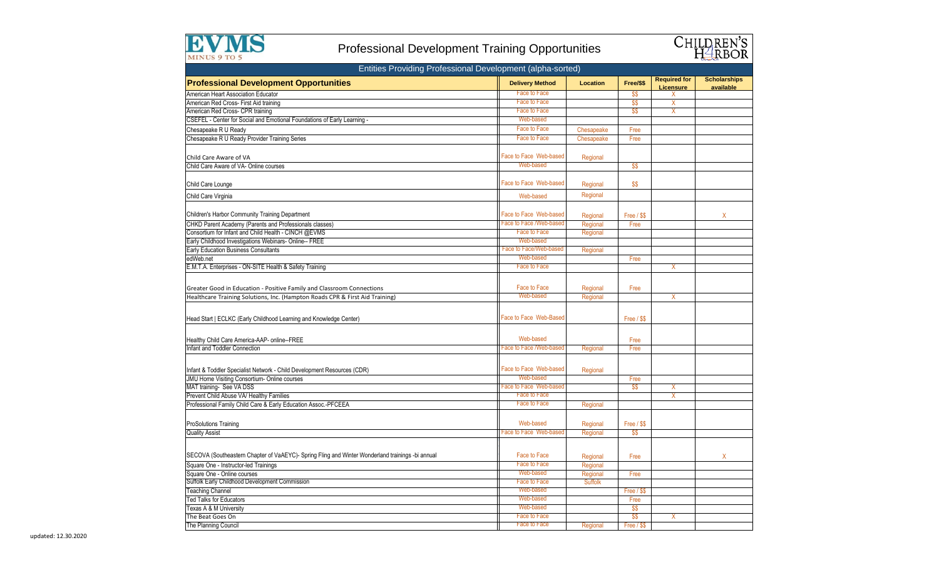

## Professional Development Training Opportunities



| Entities Providing Professional Development (alpha-sorted)                                       |                               |                 |             |                                  |                                  |  |
|--------------------------------------------------------------------------------------------------|-------------------------------|-----------------|-------------|----------------------------------|----------------------------------|--|
| <b>Professional Development Opportunities</b>                                                    | <b>Delivery Method</b>        | <b>Location</b> | Free/\$\$   | <b>Required for</b><br>Licensure | <b>Scholarships</b><br>available |  |
| American Heart Association Educator                                                              | <b>Face to Face</b>           |                 | SS.         | X.                               |                                  |  |
| American Red Cross- First Aid training                                                           | <b>Face to Face</b>           |                 | \$\$        | X                                |                                  |  |
| American Red Cross- CPR training                                                                 | <b>Face to Face</b>           |                 | \$\$        | X                                |                                  |  |
| CSEFEL - Center for Social and Emotional Foundations of Early Learning -                         | Web-based                     |                 |             |                                  |                                  |  |
| Chesapeake R U Ready                                                                             | Face to Face                  | Chesapeake      | Free        |                                  |                                  |  |
| Chesapeake R U Ready Provider Training Series                                                    | <b>Face to Face</b>           | Chesapeake      | Free        |                                  |                                  |  |
|                                                                                                  |                               |                 |             |                                  |                                  |  |
| Child Care Aware of VA                                                                           | Face to Face Web-based        | Regional        |             |                                  |                                  |  |
| Child Care Aware of VA- Online courses                                                           | Web-based                     |                 | \$\$        |                                  |                                  |  |
|                                                                                                  |                               |                 |             |                                  |                                  |  |
| Child Care Lounge                                                                                | Face to Face Web-based        | Regional        | \$\$        |                                  |                                  |  |
|                                                                                                  |                               |                 |             |                                  |                                  |  |
| Child Care Virginia                                                                              | Web-based                     | Regional        |             |                                  |                                  |  |
|                                                                                                  |                               |                 |             |                                  |                                  |  |
| <b>Children's Harbor Community Training Department</b>                                           | Face to Face Web-based        | Regional        | Free / \$\$ |                                  | X                                |  |
| CHKD Parent Academy (Parents and Professionals classes)                                          | Face to Face /Web-based       | Regional        | Free        |                                  |                                  |  |
| Consortium for Infant and Child Health - CINCH @EVMS                                             | <b>Face to Face</b>           | Regional        |             |                                  |                                  |  |
| Early Childhood Investigations Webinars- Online-- FREE                                           | Web-based                     |                 |             |                                  |                                  |  |
| Early Education Business Consultants                                                             | Face to Face/Web-based        | Regional        |             |                                  |                                  |  |
| edWeb.net                                                                                        | Web-based                     |                 | Free        |                                  |                                  |  |
| E.M.T.A. Enterprises - ON-SITE Health & Safety Training                                          | <b>Face to Face</b>           |                 |             | X                                |                                  |  |
|                                                                                                  |                               |                 |             |                                  |                                  |  |
| Greater Good in Education - Positive Family and Classroom Connections                            | Face to Face                  | Regional        | Free        |                                  |                                  |  |
| Healthcare Training Solutions, Inc. (Hampton Roads CPR & First Aid Training)                     | Web-based                     | Regional        |             | X                                |                                  |  |
|                                                                                                  |                               |                 |             |                                  |                                  |  |
|                                                                                                  |                               |                 |             |                                  |                                  |  |
| Head Start   ECLKC (Early Childhood Learning and Knowledge Center)                               | Face to Face Web-Based        |                 | Free / \$\$ |                                  |                                  |  |
|                                                                                                  |                               |                 |             |                                  |                                  |  |
| Healthy Child Care America-AAP- online--FREE                                                     | Web-based                     |                 | Free        |                                  |                                  |  |
| Infant and Toddler Connection                                                                    | Face to Face /Web-based       | Regional        | Free        |                                  |                                  |  |
|                                                                                                  |                               |                 |             |                                  |                                  |  |
|                                                                                                  |                               |                 |             |                                  |                                  |  |
| Infant & Toddler Specialist Network - Child Development Resources (CDR)                          | Face to Face Web-based        | Regional        |             |                                  |                                  |  |
| JMU Home Visiting Consortium- Online courses                                                     | Web-based                     |                 | Free        |                                  |                                  |  |
| MAT training- See VA DSS                                                                         | <b>Face to Face Web-based</b> |                 | \$\$        | X                                |                                  |  |
| Prevent Child Abuse VA/ Healthy Families                                                         | <b>Face to Face</b>           |                 |             | X                                |                                  |  |
| Professional Family Child Care & Early Education Assoc.-PFCEEA                                   | <b>Face to Face</b>           | Regional        |             |                                  |                                  |  |
|                                                                                                  |                               |                 |             |                                  |                                  |  |
| <b>ProSolutions Training</b>                                                                     | Web-based                     | Regional        | Free / \$\$ |                                  |                                  |  |
| <b>Quality Assist</b>                                                                            | Face to Face Web-based        | Regional        | \$\$        |                                  |                                  |  |
|                                                                                                  |                               |                 |             |                                  |                                  |  |
| SECOVA (Southeastern Chapter of VaAEYC)- Spring Fling and Winter Wonderland trainings -bi annual | Face to Face                  |                 |             |                                  |                                  |  |
|                                                                                                  | <b>Face to Face</b>           | Regional        | Free        |                                  | Χ                                |  |
| Square One - Instructor-led Trainings                                                            |                               | Regional        |             |                                  |                                  |  |
| Square One - Online courses<br>Suffolk Early Childhood Development Commission                    | Web-based                     | Regional        | Free        |                                  |                                  |  |
|                                                                                                  | Face to Face<br>Web-based     | <b>Suffolk</b>  |             |                                  |                                  |  |
| <b>Teaching Channel</b>                                                                          |                               |                 | Free / \$\$ |                                  |                                  |  |
| <b>Ted Talks for Educators</b>                                                                   | Web-based<br>Web-based        |                 | Free        |                                  |                                  |  |
| Texas A & M University                                                                           | <b>Face to Face</b>           |                 | \$\$        |                                  |                                  |  |
| The Beat Goes On                                                                                 |                               |                 | \$\$        | X                                |                                  |  |
| The Planning Council                                                                             | Face to Face                  | Regional        | Free / \$\$ |                                  |                                  |  |